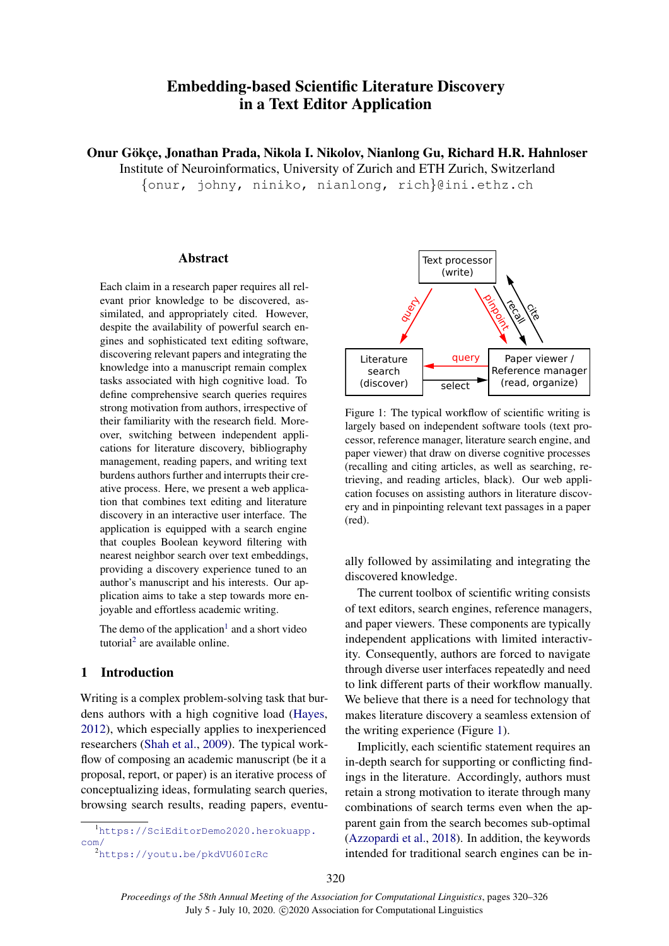# Embedding-based Scientific Literature Discovery in a Text Editor Application

Onur Gökçe, Jonathan Prada, Nikola I. Nikolov, Nianlong Gu, Richard H.R. Hahnloser

Institute of Neuroinformatics, University of Zurich and ETH Zurich, Switzerland

{onur, johny, niniko, nianlong, rich}@ini.ethz.ch

# Abstract

Each claim in a research paper requires all relevant prior knowledge to be discovered, assimilated, and appropriately cited. However, despite the availability of powerful search engines and sophisticated text editing software, discovering relevant papers and integrating the knowledge into a manuscript remain complex tasks associated with high cognitive load. To define comprehensive search queries requires strong motivation from authors, irrespective of their familiarity with the research field. Moreover, switching between independent applications for literature discovery, bibliography management, reading papers, and writing text burdens authors further and interrupts their creative process. Here, we present a web application that combines text editing and literature discovery in an interactive user interface. The application is equipped with a search engine that couples Boolean keyword filtering with nearest neighbor search over text embeddings, providing a discovery experience tuned to an author's manuscript and his interests. Our application aims to take a step towards more enjoyable and effortless academic writing.

The demo of the application<sup>[1](#page-0-0)</sup> and a short video tutorial<sup>[2](#page-0-1)</sup> are available online.

# 1 Introduction

Writing is a complex problem-solving task that burdens authors with a high cognitive load [\(Hayes,](#page-5-0) [2012\)](#page-5-0), which especially applies to inexperienced researchers [\(Shah et al.,](#page-6-0) [2009\)](#page-6-0). The typical workflow of composing an academic manuscript (be it a proposal, report, or paper) is an iterative process of conceptualizing ideas, formulating search queries, browsing search results, reading papers, eventu-

<span id="page-0-0"></span>

<span id="page-0-1"></span><sup>2</sup><https://youtu.be/pkdVU60IcRc>

<span id="page-0-2"></span>

Figure 1: The typical workflow of scientific writing is largely based on independent software tools (text processor, reference manager, literature search engine, and paper viewer) that draw on diverse cognitive processes (recalling and citing articles, as well as searching, retrieving, and reading articles, black). Our web application focuses on assisting authors in literature discovery and in pinpointing relevant text passages in a paper (red).

ally followed by assimilating and integrating the discovered knowledge.

The current toolbox of scientific writing consists of text editors, search engines, reference managers, and paper viewers. These components are typically independent applications with limited interactivity. Consequently, authors are forced to navigate through diverse user interfaces repeatedly and need to link different parts of their workflow manually. We believe that there is a need for technology that makes literature discovery a seamless extension of the writing experience (Figure [1\)](#page-0-2).

Implicitly, each scientific statement requires an in-depth search for supporting or conflicting findings in the literature. Accordingly, authors must retain a strong motivation to iterate through many combinations of search terms even when the apparent gain from the search becomes sub-optimal [\(Azzopardi et al.,](#page-5-1) [2018\)](#page-5-1). In addition, the keywords intended for traditional search engines can be in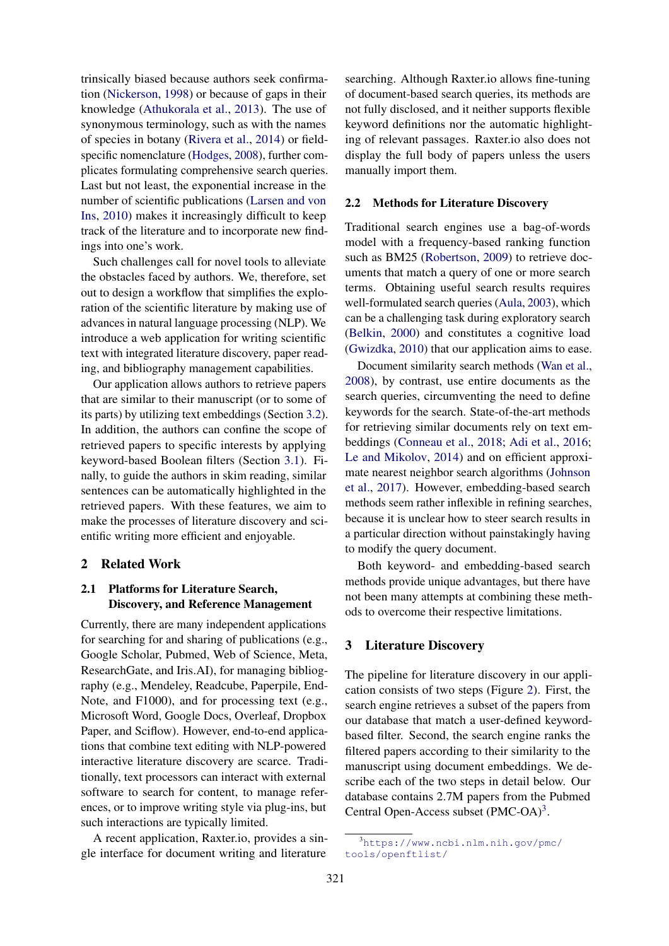trinsically biased because authors seek confirmation [\(Nickerson,](#page-5-2) [1998\)](#page-5-2) or because of gaps in their knowledge [\(Athukorala et al.,](#page-5-3) [2013\)](#page-5-3). The use of synonymous terminology, such as with the names of species in botany [\(Rivera et al.,](#page-5-4) [2014\)](#page-5-4) or fieldspecific nomenclature [\(Hodges,](#page-5-5) [2008\)](#page-5-5), further complicates formulating comprehensive search queries. Last but not least, the exponential increase in the number of scientific publications [\(Larsen and von](#page-5-6) [Ins,](#page-5-6) [2010\)](#page-5-6) makes it increasingly difficult to keep track of the literature and to incorporate new findings into one's work.

Such challenges call for novel tools to alleviate the obstacles faced by authors. We, therefore, set out to design a workflow that simplifies the exploration of the scientific literature by making use of advances in natural language processing (NLP). We introduce a web application for writing scientific text with integrated literature discovery, paper reading, and bibliography management capabilities.

Our application allows authors to retrieve papers that are similar to their manuscript (or to some of its parts) by utilizing text embeddings (Section [3.2\)](#page-2-0). In addition, the authors can confine the scope of retrieved papers to specific interests by applying keyword-based Boolean filters (Section [3.1\)](#page-2-1). Finally, to guide the authors in skim reading, similar sentences can be automatically highlighted in the retrieved papers. With these features, we aim to make the processes of literature discovery and scientific writing more efficient and enjoyable.

# 2 Related Work

# 2.1 Platforms for Literature Search, Discovery, and Reference Management

Currently, there are many independent applications for searching for and sharing of publications (e.g., Google Scholar, Pubmed, Web of Science, Meta, ResearchGate, and Iris.AI), for managing bibliography (e.g., Mendeley, Readcube, Paperpile, End-Note, and F1000), and for processing text (e.g., Microsoft Word, Google Docs, Overleaf, Dropbox Paper, and Sciflow). However, end-to-end applications that combine text editing with NLP-powered interactive literature discovery are scarce. Traditionally, text processors can interact with external software to search for content, to manage references, or to improve writing style via plug-ins, but such interactions are typically limited.

A recent application, Raxter.io, provides a single interface for document writing and literature

searching. Although Raxter.io allows fine-tuning of document-based search queries, its methods are not fully disclosed, and it neither supports flexible keyword definitions nor the automatic highlighting of relevant passages. Raxter.io also does not display the full body of papers unless the users manually import them.

#### 2.2 Methods for Literature Discovery

Traditional search engines use a bag-of-words model with a frequency-based ranking function such as BM25 [\(Robertson,](#page-6-1) [2009\)](#page-6-1) to retrieve documents that match a query of one or more search terms. Obtaining useful search results requires well-formulated search queries [\(Aula,](#page-5-7) [2003\)](#page-5-7), which can be a challenging task during exploratory search [\(Belkin,](#page-5-8) [2000\)](#page-5-8) and constitutes a cognitive load [\(Gwizdka,](#page-5-9) [2010\)](#page-5-9) that our application aims to ease.

Document similarity search methods [\(Wan et al.,](#page-6-2) [2008\)](#page-6-2), by contrast, use entire documents as the search queries, circumventing the need to define keywords for the search. State-of-the-art methods for retrieving similar documents rely on text embeddings [\(Conneau et al.,](#page-5-10) [2018;](#page-5-10) [Adi et al.,](#page-5-11) [2016;](#page-5-11) [Le and Mikolov,](#page-5-12) [2014\)](#page-5-12) and on efficient approximate nearest neighbor search algorithms [\(Johnson](#page-5-13) [et al.,](#page-5-13) [2017\)](#page-5-13). However, embedding-based search methods seem rather inflexible in refining searches, because it is unclear how to steer search results in a particular direction without painstakingly having to modify the query document.

Both keyword- and embedding-based search methods provide unique advantages, but there have not been many attempts at combining these methods to overcome their respective limitations.

#### 3 Literature Discovery

The pipeline for literature discovery in our application consists of two steps (Figure [2\)](#page-2-2). First, the search engine retrieves a subset of the papers from our database that match a user-defined keywordbased filter. Second, the search engine ranks the filtered papers according to their similarity to the manuscript using document embeddings. We describe each of the two steps in detail below. Our database contains 2.7M papers from the Pubmed Central Open-Access subset (PMC-OA)<sup>[3](#page-1-0)</sup>.

<span id="page-1-0"></span><sup>3</sup>[https://www.ncbi.nlm.nih.gov/pmc/](https://www.ncbi.nlm.nih.gov/pmc/tools/openftlist/) [tools/openftlist/](https://www.ncbi.nlm.nih.gov/pmc/tools/openftlist/)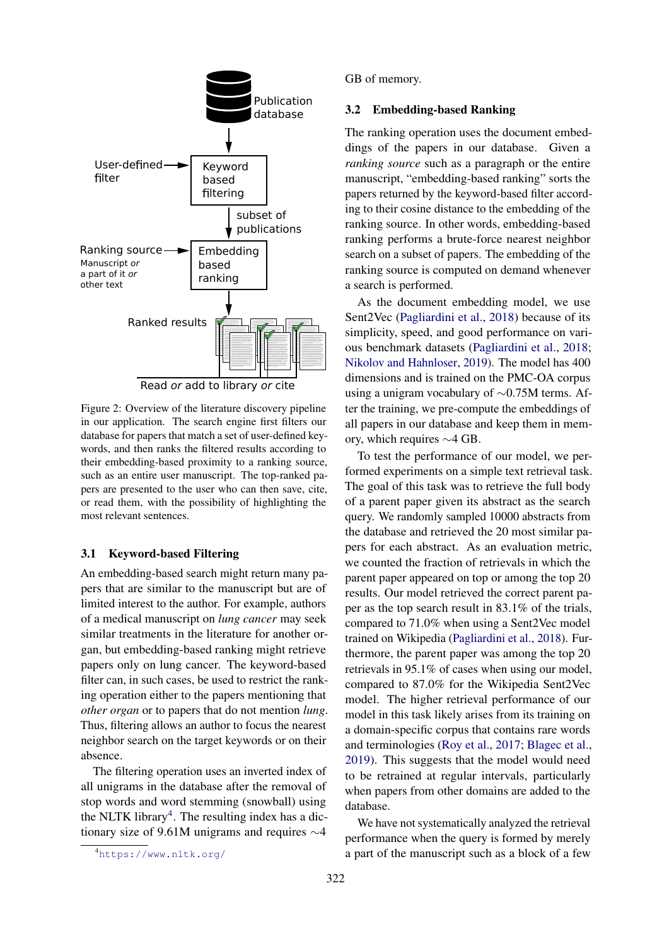<span id="page-2-2"></span>

Figure 2: Overview of the literature discovery pipeline in our application. The search engine first filters our database for papers that match a set of user-defined keywords, and then ranks the filtered results according to their embedding-based proximity to a ranking source, such as an entire user manuscript. The top-ranked papers are presented to the user who can then save, cite, or read them, with the possibility of highlighting the most relevant sentences.

#### <span id="page-2-1"></span>3.1 Keyword-based Filtering

An embedding-based search might return many papers that are similar to the manuscript but are of limited interest to the author. For example, authors of a medical manuscript on *lung cancer* may seek similar treatments in the literature for another organ, but embedding-based ranking might retrieve papers only on lung cancer. The keyword-based filter can, in such cases, be used to restrict the ranking operation either to the papers mentioning that *other organ* or to papers that do not mention *lung*. Thus, filtering allows an author to focus the nearest neighbor search on the target keywords or on their absence.

The filtering operation uses an inverted index of all unigrams in the database after the removal of stop words and word stemming (snowball) using the NLTK library<sup>[4](#page-2-3)</sup>. The resulting index has a dictionary size of 9.61M unigrams and requires ∼4

GB of memory.

#### <span id="page-2-0"></span>3.2 Embedding-based Ranking

The ranking operation uses the document embeddings of the papers in our database. Given a *ranking source* such as a paragraph or the entire manuscript, "embedding-based ranking" sorts the papers returned by the keyword-based filter according to their cosine distance to the embedding of the ranking source. In other words, embedding-based ranking performs a brute-force nearest neighbor search on a subset of papers. The embedding of the ranking source is computed on demand whenever a search is performed.

As the document embedding model, we use Sent2Vec [\(Pagliardini et al.,](#page-5-14) [2018\)](#page-5-14) because of its simplicity, speed, and good performance on various benchmark datasets [\(Pagliardini et al.,](#page-5-14) [2018;](#page-5-14) [Nikolov and Hahnloser,](#page-5-15) [2019\)](#page-5-15). The model has 400 dimensions and is trained on the PMC-OA corpus using a unigram vocabulary of ∼0.75M terms. After the training, we pre-compute the embeddings of all papers in our database and keep them in memory, which requires ∼4 GB.

To test the performance of our model, we performed experiments on a simple text retrieval task. The goal of this task was to retrieve the full body of a parent paper given its abstract as the search query. We randomly sampled 10000 abstracts from the database and retrieved the 20 most similar papers for each abstract. As an evaluation metric, we counted the fraction of retrievals in which the parent paper appeared on top or among the top 20 results. Our model retrieved the correct parent paper as the top search result in 83.1% of the trials, compared to 71.0% when using a Sent2Vec model trained on Wikipedia [\(Pagliardini et al.,](#page-5-14) [2018\)](#page-5-14). Furthermore, the parent paper was among the top 20 retrievals in 95.1% of cases when using our model, compared to 87.0% for the Wikipedia Sent2Vec model. The higher retrieval performance of our model in this task likely arises from its training on a domain-specific corpus that contains rare words and terminologies [\(Roy et al.,](#page-6-3) [2017;](#page-6-3) [Blagec et al.,](#page-5-16) [2019\)](#page-5-16). This suggests that the model would need to be retrained at regular intervals, particularly when papers from other domains are added to the database.

We have not systematically analyzed the retrieval performance when the query is formed by merely a part of the manuscript such as a block of a few

<span id="page-2-3"></span><sup>4</sup><https://www.nltk.org/>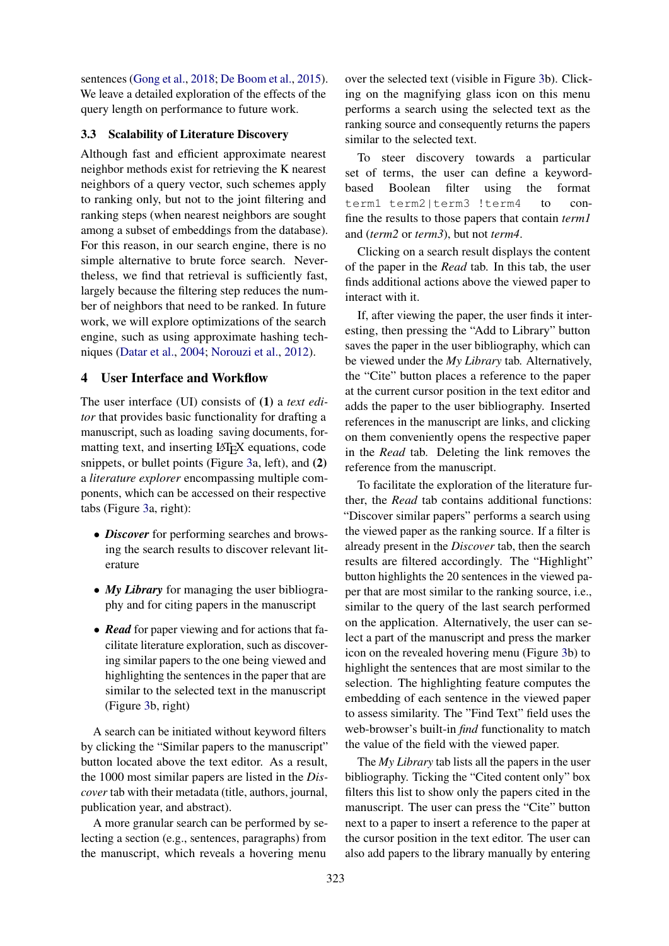sentences [\(Gong et al.,](#page-5-17) [2018;](#page-5-17) [De Boom et al.,](#page-5-18) [2015\)](#page-5-18). We leave a detailed exploration of the effects of the query length on performance to future work.

#### 3.3 Scalability of Literature Discovery

Although fast and efficient approximate nearest neighbor methods exist for retrieving the K nearest neighbors of a query vector, such schemes apply to ranking only, but not to the joint filtering and ranking steps (when nearest neighbors are sought among a subset of embeddings from the database). For this reason, in our search engine, there is no simple alternative to brute force search. Nevertheless, we find that retrieval is sufficiently fast, largely because the filtering step reduces the number of neighbors that need to be ranked. In future work, we will explore optimizations of the search engine, such as using approximate hashing techniques [\(Datar et al.,](#page-5-19) [2004;](#page-5-19) [Norouzi et al.,](#page-5-20) [2012\)](#page-5-20).

# 4 User Interface and Workflow

The user interface (UI) consists of (1) a *text editor* that provides basic functionality for drafting a manuscript, such as loading saving documents, formatting text, and inserting LAT<sub>E</sub>X equations, code snippets, or bullet points (Figure [3a](#page-4-0), left), and (2) a *literature explorer* encompassing multiple components, which can be accessed on their respective tabs (Figure [3a](#page-4-0), right):

- *Discover* for performing searches and browsing the search results to discover relevant literature
- *My Library* for managing the user bibliography and for citing papers in the manuscript
- *Read* for paper viewing and for actions that facilitate literature exploration, such as discovering similar papers to the one being viewed and highlighting the sentences in the paper that are similar to the selected text in the manuscript (Figure [3b](#page-4-0), right)

A search can be initiated without keyword filters by clicking the "Similar papers to the manuscript" button located above the text editor. As a result, the 1000 most similar papers are listed in the *Discover* tab with their metadata (title, authors, journal, publication year, and abstract).

A more granular search can be performed by selecting a section (e.g., sentences, paragraphs) from the manuscript, which reveals a hovering menu

over the selected text (visible in Figure [3b](#page-4-0)). Clicking on the magnifying glass icon on this menu performs a search using the selected text as the ranking source and consequently returns the papers similar to the selected text.

To steer discovery towards a particular set of terms, the user can define a keywordbased Boolean filter using the format term1 term2|term3 !term4 to confine the results to those papers that contain *term1* and (*term2* or *term3*), but not *term4*.

Clicking on a search result displays the content of the paper in the *Read* tab. In this tab, the user finds additional actions above the viewed paper to interact with it.

If, after viewing the paper, the user finds it interesting, then pressing the "Add to Library" button saves the paper in the user bibliography, which can be viewed under the *My Library* tab. Alternatively, the "Cite" button places a reference to the paper at the current cursor position in the text editor and adds the paper to the user bibliography. Inserted references in the manuscript are links, and clicking on them conveniently opens the respective paper in the *Read* tab. Deleting the link removes the reference from the manuscript.

To facilitate the exploration of the literature further, the *Read* tab contains additional functions: "Discover similar papers" performs a search using the viewed paper as the ranking source. If a filter is already present in the *Discover* tab, then the search results are filtered accordingly. The "Highlight" button highlights the 20 sentences in the viewed paper that are most similar to the ranking source, i.e., similar to the query of the last search performed on the application. Alternatively, the user can select a part of the manuscript and press the marker icon on the revealed hovering menu (Figure [3b](#page-4-0)) to highlight the sentences that are most similar to the selection. The highlighting feature computes the embedding of each sentence in the viewed paper to assess similarity. The "Find Text" field uses the web-browser's built-in *find* functionality to match the value of the field with the viewed paper.

The *My Library* tab lists all the papers in the user bibliography. Ticking the "Cited content only" box filters this list to show only the papers cited in the manuscript. The user can press the "Cite" button next to a paper to insert a reference to the paper at the cursor position in the text editor. The user can also add papers to the library manually by entering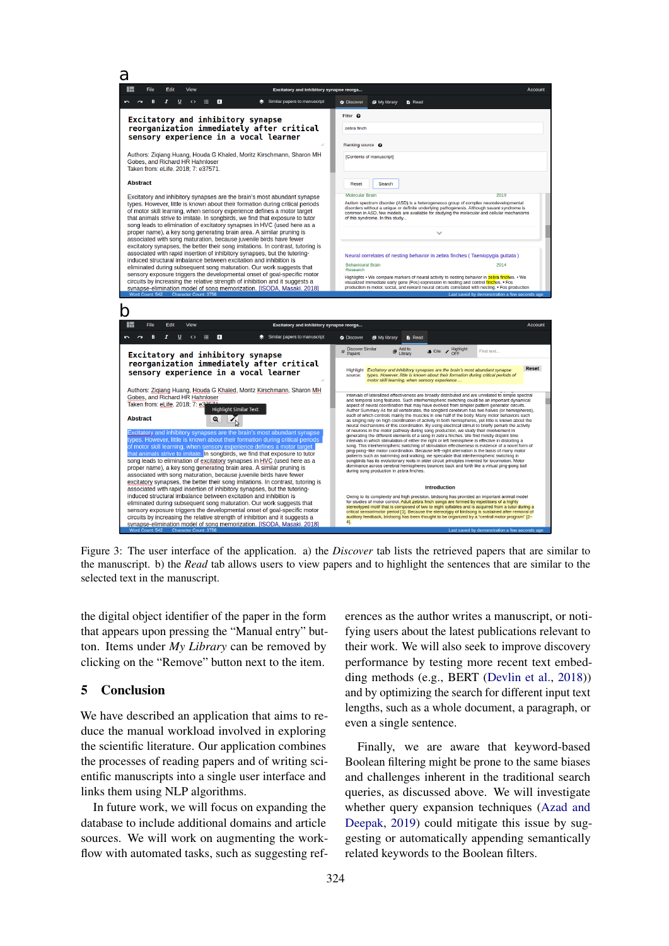<span id="page-4-0"></span>

Figure 3: The user interface of the application. a) the *Discover* tab lists the retrieved papers that are similar to the manuscript. b) the *Read* tab allows users to view papers and to highlight the sentences that are similar to the selected text in the manuscript.

the digital object identifier of the paper in the form that appears upon pressing the "Manual entry" button. Items under *My Library* can be removed by clicking on the "Remove" button next to the item.

### 5 Conclusion

We have described an application that aims to reduce the manual workload involved in exploring the scientific literature. Our application combines the processes of reading papers and of writing scientific manuscripts into a single user interface and links them using NLP algorithms.

In future work, we will focus on expanding the database to include additional domains and article sources. We will work on augmenting the workflow with automated tasks, such as suggesting ref-

erences as the author writes a manuscript, or notifying users about the latest publications relevant to their work. We will also seek to improve discovery performance by testing more recent text embedding methods (e.g., BERT [\(Devlin et al.,](#page-5-21) [2018\)](#page-5-21)) and by optimizing the search for different input text lengths, such as a whole document, a paragraph, or even a single sentence.

Finally, we are aware that keyword-based Boolean filtering might be prone to the same biases and challenges inherent in the traditional search queries, as discussed above. We will investigate whether query expansion techniques [\(Azad and](#page-5-22) [Deepak,](#page-5-22) [2019\)](#page-5-22) could mitigate this issue by suggesting or automatically appending semantically related keywords to the Boolean filters.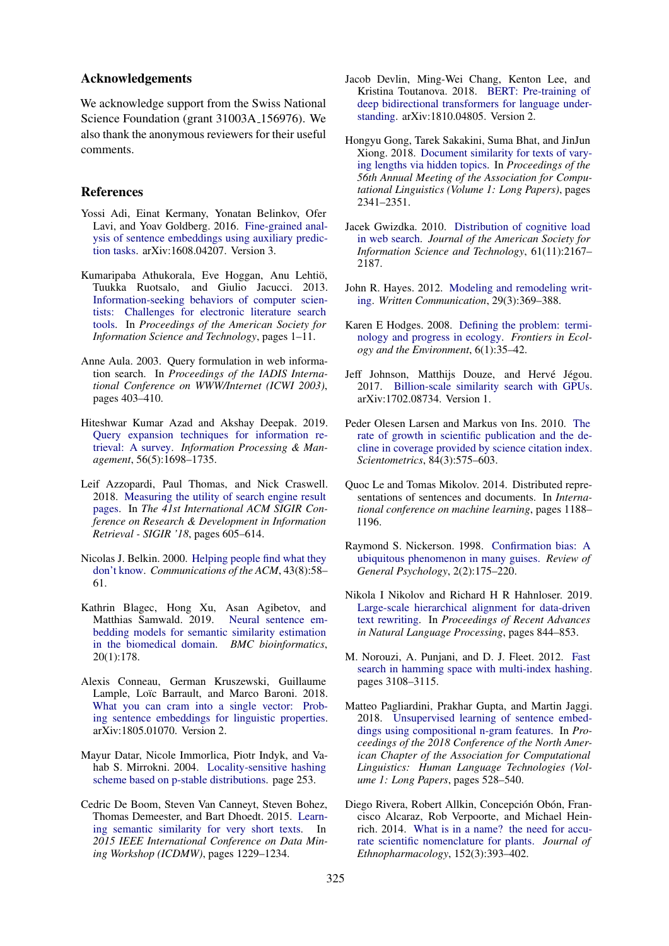### Acknowledgements

We acknowledge support from the Swiss National Science Foundation (grant 31003A 156976). We also thank the anonymous reviewers for their useful comments.

#### References

- <span id="page-5-11"></span>Yossi Adi, Einat Kermany, Yonatan Belinkov, Ofer Lavi, and Yoav Goldberg. 2016. [Fine-grained anal](http://arxiv.org/abs/1608.04207)[ysis of sentence embeddings using auxiliary predic](http://arxiv.org/abs/1608.04207)[tion tasks.](http://arxiv.org/abs/1608.04207) arXiv:1608.04207. Version 3.
- <span id="page-5-3"></span>Kumaripaba Athukorala, Eve Hoggan, Anu Lehtio,¨ Tuukka Ruotsalo, and Giulio Jacucci. 2013. [Information-seeking behaviors of computer scien](https://doi.org/10.1002/meet.14505001041)[tists: Challenges for electronic literature search](https://doi.org/10.1002/meet.14505001041) [tools.](https://doi.org/10.1002/meet.14505001041) In *Proceedings of the American Society for Information Science and Technology*, pages 1–11.
- <span id="page-5-7"></span>Anne Aula. 2003. Query formulation in web information search. In *Proceedings of the IADIS International Conference on WWW/Internet (ICWI 2003)*, pages 403–410.
- <span id="page-5-22"></span>Hiteshwar Kumar Azad and Akshay Deepak. 2019. [Query expansion techniques for information re](https://doi.org/10.1016/j.ipm.2019.05.009)[trieval: A survey.](https://doi.org/10.1016/j.ipm.2019.05.009) *Information Processing & Management*, 56(5):1698–1735.
- <span id="page-5-1"></span>Leif Azzopardi, Paul Thomas, and Nick Craswell. 2018. [Measuring the utility of search engine result](https://doi.org/10.1145/3209978.3210027) [pages.](https://doi.org/10.1145/3209978.3210027) In *The 41st International ACM SIGIR Conference on Research & Development in Information Retrieval - SIGIR '18*, pages 605–614.
- <span id="page-5-8"></span>Nicolas J. Belkin. 2000. [Helping people find what they](https://doi.org/10.1145/345124.345143) [don't know.](https://doi.org/10.1145/345124.345143) *Communications of the ACM*, 43(8):58– 61.
- <span id="page-5-16"></span>Kathrin Blagec, Hong Xu, Asan Agibetov, and Matthias Samwald. 2019. [Neural sentence em](https://doi.org/10.1186/s12859-019-2789-2)[bedding models for semantic similarity estimation](https://doi.org/10.1186/s12859-019-2789-2) [in the biomedical domain.](https://doi.org/10.1186/s12859-019-2789-2) *BMC bioinformatics*, 20(1):178.
- <span id="page-5-10"></span>Alexis Conneau, German Kruszewski, Guillaume Lample, Loïc Barrault, and Marco Baroni. 2018. [What you can cram into a single vector: Prob](http://arxiv.org/abs/1805.01070)[ing sentence embeddings for linguistic properties.](http://arxiv.org/abs/1805.01070) arXiv:1805.01070. Version 2.
- <span id="page-5-19"></span>Mayur Datar, Nicole Immorlica, Piotr Indyk, and Vahab S. Mirrokni. 2004. [Locality-sensitive hashing](https://doi.org/10.1145/997817.997857) [scheme based on p-stable distributions.](https://doi.org/10.1145/997817.997857) page 253.
- <span id="page-5-18"></span>Cedric De Boom, Steven Van Canneyt, Steven Bohez, Thomas Demeester, and Bart Dhoedt. 2015. [Learn](https://doi.org/10.1109/ICDMW.2015.86)[ing semantic similarity for very short texts.](https://doi.org/10.1109/ICDMW.2015.86) In *2015 IEEE International Conference on Data Mining Workshop (ICDMW)*, pages 1229–1234.
- <span id="page-5-21"></span>Jacob Devlin, Ming-Wei Chang, Kenton Lee, and Kristina Toutanova. 2018. [BERT: Pre-training of](http://arxiv.org/abs/1810.04805) [deep bidirectional transformers for language under](http://arxiv.org/abs/1810.04805)[standing.](http://arxiv.org/abs/1810.04805) arXiv:1810.04805. Version 2.
- <span id="page-5-17"></span>Hongyu Gong, Tarek Sakakini, Suma Bhat, and JinJun Xiong. 2018. [Document similarity for texts of vary](https://doi.org/10.18653/v1/P18-1218)[ing lengths via hidden topics.](https://doi.org/10.18653/v1/P18-1218) In *Proceedings of the 56th Annual Meeting of the Association for Computational Linguistics (Volume 1: Long Papers)*, pages 2341–2351.
- <span id="page-5-9"></span>Jacek Gwizdka. 2010. [Distribution of cognitive load](https://doi.org/10.1002/asi.21385) [in web search.](https://doi.org/10.1002/asi.21385) *Journal of the American Society for Information Science and Technology*, 61(11):2167– 2187.
- <span id="page-5-0"></span>John R. Hayes. 2012. [Modeling and remodeling writ](https://doi.org/10.1177/0741088312451260)[ing.](https://doi.org/10.1177/0741088312451260) *Written Communication*, 29(3):369–388.
- <span id="page-5-5"></span>Karen E Hodges. 2008. [Defining the problem: termi](https://doi.org/10.1890/060108)[nology and progress in ecology.](https://doi.org/10.1890/060108) *Frontiers in Ecology and the Environment*, 6(1):35–42.
- <span id="page-5-13"></span>Jeff Johnson, Matthijs Douze, and Hervé Jégou. 2017. [Billion-scale similarity search with GPUs.](http://arxiv.org/abs/1702.08734) arXiv:1702.08734. Version 1.
- <span id="page-5-6"></span>Peder Olesen Larsen and Markus von Ins. 2010. [The](https://doi.org/10.1007/s11192-010-0202-z) [rate of growth in scientific publication and the de](https://doi.org/10.1007/s11192-010-0202-z)[cline in coverage provided by science citation index.](https://doi.org/10.1007/s11192-010-0202-z) *Scientometrics*, 84(3):575–603.
- <span id="page-5-12"></span>Quoc Le and Tomas Mikolov. 2014. Distributed representations of sentences and documents. In *International conference on machine learning*, pages 1188– 1196.
- <span id="page-5-2"></span>Raymond S. Nickerson. 1998. [Confirmation bias: A](https://doi.org/10.1037/1089-2680.2.2.175) [ubiquitous phenomenon in many guises.](https://doi.org/10.1037/1089-2680.2.2.175) *Review of General Psychology*, 2(2):175–220.
- <span id="page-5-15"></span>Nikola I Nikolov and Richard H R Hahnloser. 2019. [Large-scale hierarchical alignment for data-driven](https://doi.org/10.26615/978-954-452-056-4_098) [text rewriting.](https://doi.org/10.26615/978-954-452-056-4_098) In *Proceedings of Recent Advances in Natural Language Processing*, pages 844–853.
- <span id="page-5-20"></span>M. Norouzi, A. Punjani, and D. J. Fleet. 2012. [Fast](https://doi.org/10.1109/CVPR.2012.6248043) [search in hamming space with multi-index hashing.](https://doi.org/10.1109/CVPR.2012.6248043) pages 3108–3115.
- <span id="page-5-14"></span>Matteo Pagliardini, Prakhar Gupta, and Martin Jaggi. 2018. [Unsupervised learning of sentence embed](https://doi.org/10.18653/v1/N18-1049)[dings using compositional n-gram features.](https://doi.org/10.18653/v1/N18-1049) In *Proceedings of the 2018 Conference of the North American Chapter of the Association for Computational Linguistics: Human Language Technologies (Volume 1: Long Papers*, pages 528–540.
- <span id="page-5-4"></span>Diego Rivera, Robert Allkin, Concepción Obón, Francisco Alcaraz, Rob Verpoorte, and Michael Heinrich. 2014. [What is in a name? the need for accu](https://doi.org/10.1016/j.jep.2013.12.022)[rate scientific nomenclature for plants.](https://doi.org/10.1016/j.jep.2013.12.022) *Journal of Ethnopharmacology*, 152(3):393–402.